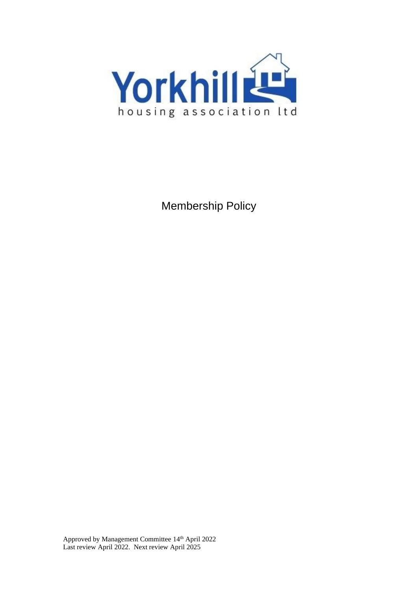

Membership Policy

Approved by Management Committee 14<sup>th</sup> April 2022 Last review April 2022. Next review April 2025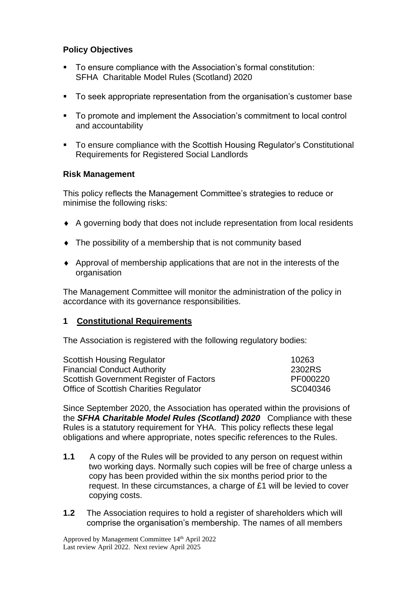#### **Policy Objectives**

- To ensure compliance with the Association's formal constitution: SFHA Charitable Model Rules (Scotland) 2020
- To seek appropriate representation from the organisation's customer base
- To promote and implement the Association's commitment to local control and accountability
- To ensure compliance with the Scottish Housing Regulator's Constitutional Requirements for Registered Social Landlords

#### **Risk Management**

This policy reflects the Management Committee's strategies to reduce or minimise the following risks:

- A governing body that does not include representation from local residents
- The possibility of a membership that is not community based
- Approval of membership applications that are not in the interests of the organisation

The Management Committee will monitor the administration of the policy in accordance with its governance responsibilities.

#### **1 Constitutional Requirements**

The Association is registered with the following regulatory bodies:

| <b>Scottish Housing Regulator</b>             | 10263    |
|-----------------------------------------------|----------|
| <b>Financial Conduct Authority</b>            | 2302RS   |
| Scottish Government Register of Factors       | PF000220 |
| <b>Office of Scottish Charities Regulator</b> | SC040346 |

Since September 2020, the Association has operated within the provisions of the *SFHA Charitable Model Rules (Scotland) 2020* Compliance with these Rules is a statutory requirement for YHA. This policy reflects these legal obligations and where appropriate, notes specific references to the Rules.

- **1.1** A copy of the Rules will be provided to any person on request within two working days. Normally such copies will be free of charge unless a copy has been provided within the six months period prior to the request. In these circumstances, a charge of £1 will be levied to cover copying costs.
- **1.2** The Association requires to hold a register of shareholders which will comprise the organisation's membership. The names of all members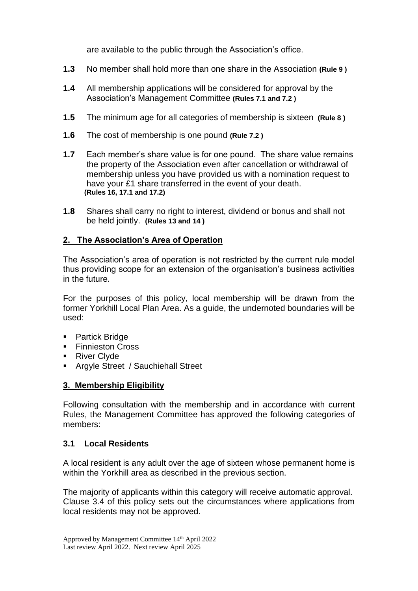are available to the public through the Association's office.

- **1.3** No member shall hold more than one share in the Association **(Rule 9 )**
- **1.4** All membership applications will be considered for approval by the Association's Management Committee **(Rules 7.1 and 7.2 )**
- **1.5** The minimum age for all categories of membership is sixteen **(Rule 8 )**
- **1.6** The cost of membership is one pound **(Rule 7.2 )**
- **1.7** Each member's share value is for one pound. The share value remains the property of the Association even after cancellation or withdrawal of membership unless you have provided us with a nomination request to have your £1 share transferred in the event of your death. **(Rules 16, 17.1 and 17.2)**
- **1.8** Shares shall carry no right to interest, dividend or bonus and shall not be held jointly. **(Rules 13 and 14 )**

## **2. The Association's Area of Operation**

The Association's area of operation is not restricted by the current rule model thus providing scope for an extension of the organisation's business activities in the future.

For the purposes of this policy, local membership will be drawn from the former Yorkhill Local Plan Area. As a guide, the undernoted boundaries will be used:

- Partick Bridge
- Finnieston Cross
- River Clyde
- Argyle Street / Sauchiehall Street

## **3. Membership Eligibility**

Following consultation with the membership and in accordance with current Rules, the Management Committee has approved the following categories of members:

#### **3.1 Local Residents**

A local resident is any adult over the age of sixteen whose permanent home is within the Yorkhill area as described in the previous section.

The majority of applicants within this category will receive automatic approval. Clause 3.4 of this policy sets out the circumstances where applications from local residents may not be approved.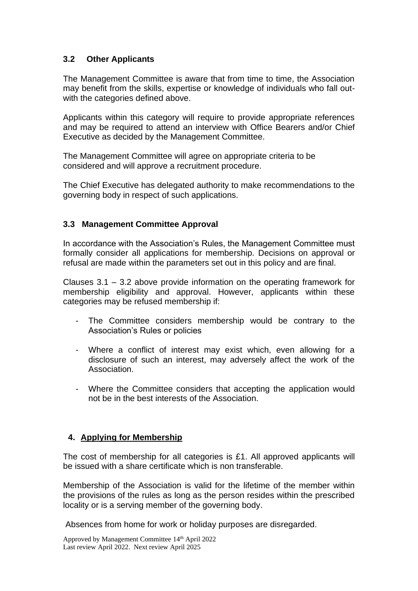## **3.2 Other Applicants**

The Management Committee is aware that from time to time, the Association may benefit from the skills, expertise or knowledge of individuals who fall outwith the categories defined above.

Applicants within this category will require to provide appropriate references and may be required to attend an interview with Office Bearers and/or Chief Executive as decided by the Management Committee.

The Management Committee will agree on appropriate criteria to be considered and will approve a recruitment procedure.

The Chief Executive has delegated authority to make recommendations to the governing body in respect of such applications.

## **3.3 Management Committee Approval**

In accordance with the Association's Rules, the Management Committee must formally consider all applications for membership. Decisions on approval or refusal are made within the parameters set out in this policy and are final.

Clauses 3.1 – 3.2 above provide information on the operating framework for membership eligibility and approval. However, applicants within these categories may be refused membership if:

- The Committee considers membership would be contrary to the Association's Rules or policies
- Where a conflict of interest may exist which, even allowing for a disclosure of such an interest, may adversely affect the work of the Association.
- Where the Committee considers that accepting the application would not be in the best interests of the Association.

## **4. Applying for Membership**

The cost of membership for all categories is £1. All approved applicants will be issued with a share certificate which is non transferable.

Membership of the Association is valid for the lifetime of the member within the provisions of the rules as long as the person resides within the prescribed locality or is a serving member of the governing body.

Absences from home for work or holiday purposes are disregarded.

Approved by Management Committee 14<sup>th</sup> April 2022 Last review April 2022. Next review April 2025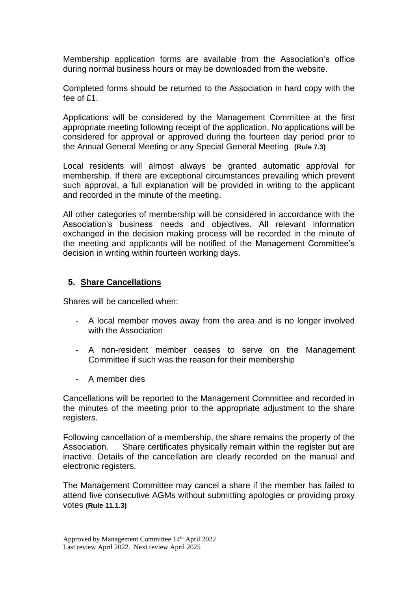Membership application forms are available from the Association's office during normal business hours or may be downloaded from the website.

Completed forms should be returned to the Association in hard copy with the fee of £1.

Applications will be considered by the Management Committee at the first appropriate meeting following receipt of the application. No applications will be considered for approval or approved during the fourteen day period prior to the Annual General Meeting or any Special General Meeting. **(Rule 7.3)**

Local residents will almost always be granted automatic approval for membership. If there are exceptional circumstances prevailing which prevent such approval, a full explanation will be provided in writing to the applicant and recorded in the minute of the meeting.

All other categories of membership will be considered in accordance with the Association's business needs and objectives. All relevant information exchanged in the decision making process will be recorded in the minute of the meeting and applicants will be notified of the Management Committee's decision in writing within fourteen working days.

#### **5. Share Cancellations**

Shares will be cancelled when:

- A local member moves away from the area and is no longer involved with the Association
- A non-resident member ceases to serve on the Management Committee if such was the reason for their membership
- A member dies

Cancellations will be reported to the Management Committee and recorded in the minutes of the meeting prior to the appropriate adjustment to the share registers.

Following cancellation of a membership, the share remains the property of the Association. Share certificates physically remain within the register but are inactive. Details of the cancellation are clearly recorded on the manual and electronic registers.

The Management Committee may cancel a share if the member has failed to attend five consecutive AGMs without submitting apologies or providing proxy votes **(Rule 11.1.3)**